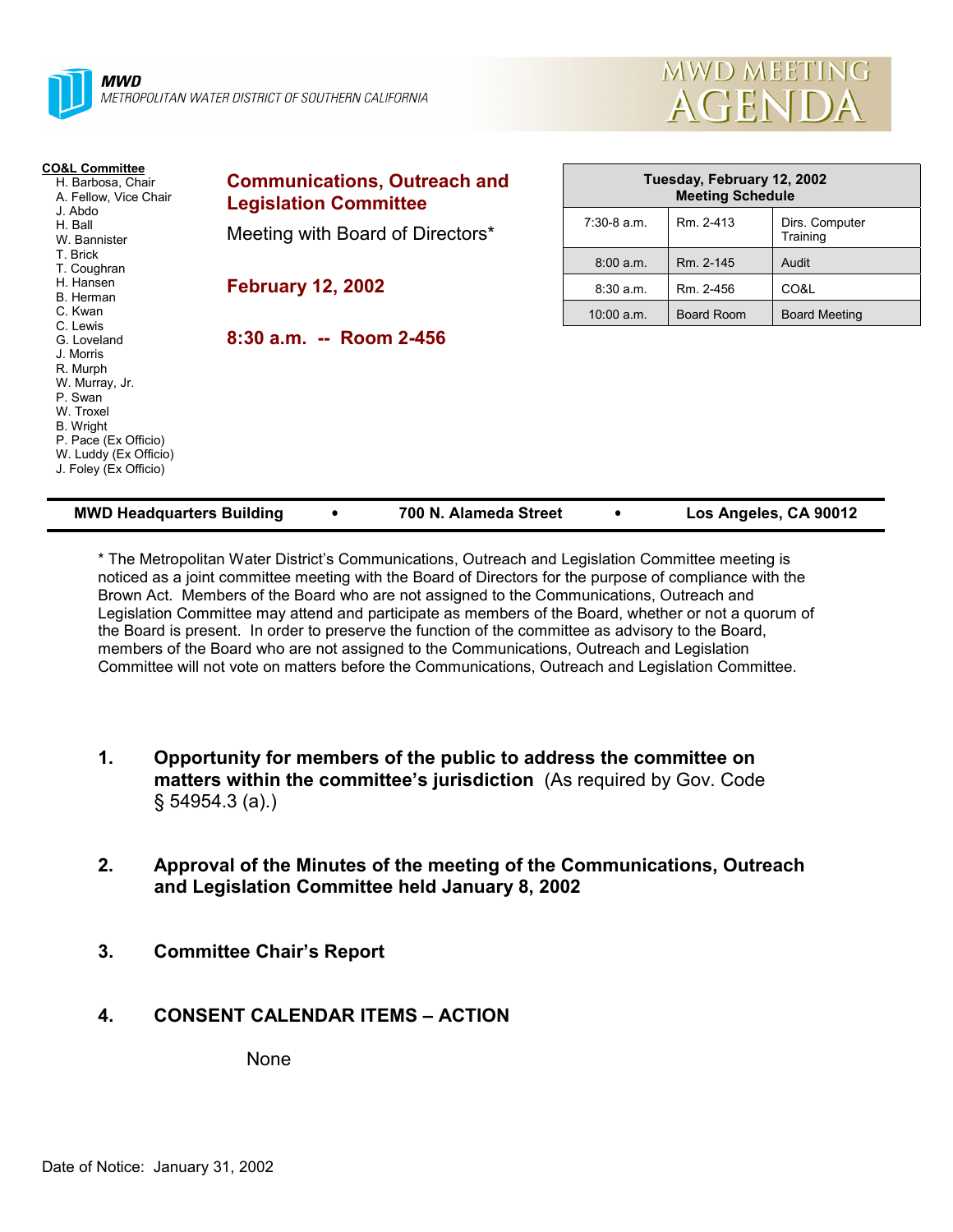



| <b>CO&amp;L Committee</b><br>H. Barbosa, Chair<br>A. Fellow, Vice Chair<br>J. Abdo<br>H. Ball<br>W. Bannister                                                                            | <b>Communications, Outreach and</b><br><b>Legislation Committee</b> | Tuesday, February 12, 2002<br><b>Meeting Schedule</b> |            |                            |
|------------------------------------------------------------------------------------------------------------------------------------------------------------------------------------------|---------------------------------------------------------------------|-------------------------------------------------------|------------|----------------------------|
|                                                                                                                                                                                          | Meeting with Board of Directors*                                    | $7:30-8$ a.m.                                         | Rm. 2-413  | Dirs. Computer<br>Training |
| T. Brick<br>T. Coughran                                                                                                                                                                  |                                                                     | 8:00 a.m.                                             | Rm. 2-145  | Audit                      |
| H. Hansen<br>B. Herman                                                                                                                                                                   | <b>February 12, 2002</b>                                            | 8:30a.m.                                              | Rm. 2-456  | CO&L                       |
| C. Kwan                                                                                                                                                                                  |                                                                     | $10:00$ a.m.                                          | Board Room | <b>Board Meeting</b>       |
| C. Lewis<br>G. Loveland<br>J. Morris<br>R. Murph<br>W. Murray, Jr.<br>P. Swan<br>W. Troxel<br><b>B.</b> Wright<br>P. Pace (Ex Officio)<br>W. Luddy (Ex Officio)<br>J. Foley (Ex Officio) | $8:30$ a.m. -- Room 2-456                                           |                                                       |            |                            |

| <b>MWD Headquarters Building</b> | 700 N. Alameda Street | Los Angeles, CA 90012 |
|----------------------------------|-----------------------|-----------------------|

\* The Metropolitan Water District's Communications, Outreach and Legislation Committee meeting is noticed as a joint committee meeting with the Board of Directors for the purpose of compliance with the Brown Act. Members of the Board who are not assigned to the Communications, Outreach and Legislation Committee may attend and participate as members of the Board, whether or not a quorum of the Board is present. In order to preserve the function of the committee as advisory to the Board, members of the Board who are not assigned to the Communications, Outreach and Legislation Committee will not vote on matters before the Communications, Outreach and Legislation Committee.

- **1. Opportunity for members of the public to address the committee on matters within the committee's jurisdiction** (As required by Gov. Code § 54954.3 (a).)
- **2. Approval of the Minutes of the meeting of the Communications, Outreach and Legislation Committee held January 8, 2002**
- **3. Committee Chair's Report**

#### **4. CONSENT CALENDAR ITEMS – ACTION**

None